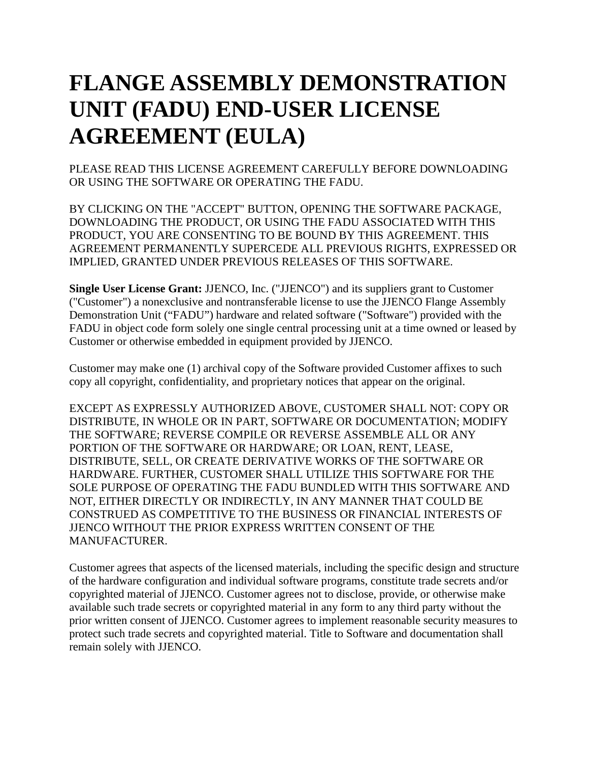## **FLANGE ASSEMBLY DEMONSTRATION UNIT (FADU) END-USER LICENSE AGREEMENT (EULA)**

PLEASE READ THIS LICENSE AGREEMENT CAREFULLY BEFORE DOWNLOADING OR USING THE SOFTWARE OR OPERATING THE FADU.

BY CLICKING ON THE "ACCEPT" BUTTON, OPENING THE SOFTWARE PACKAGE, DOWNLOADING THE PRODUCT, OR USING THE FADU ASSOCIATED WITH THIS PRODUCT, YOU ARE CONSENTING TO BE BOUND BY THIS AGREEMENT. THIS AGREEMENT PERMANENTLY SUPERCEDE ALL PREVIOUS RIGHTS, EXPRESSED OR IMPLIED, GRANTED UNDER PREVIOUS RELEASES OF THIS SOFTWARE.

**Single User License Grant:** JJENCO, Inc. ("JJENCO") and its suppliers grant to Customer ("Customer") a nonexclusive and nontransferable license to use the JJENCO Flange Assembly Demonstration Unit ("FADU") hardware and related software ("Software") provided with the FADU in object code form solely one single central processing unit at a time owned or leased by Customer or otherwise embedded in equipment provided by JJENCO.

Customer may make one (1) archival copy of the Software provided Customer affixes to such copy all copyright, confidentiality, and proprietary notices that appear on the original.

EXCEPT AS EXPRESSLY AUTHORIZED ABOVE, CUSTOMER SHALL NOT: COPY OR DISTRIBUTE, IN WHOLE OR IN PART, SOFTWARE OR DOCUMENTATION; MODIFY THE SOFTWARE; REVERSE COMPILE OR REVERSE ASSEMBLE ALL OR ANY PORTION OF THE SOFTWARE OR HARDWARE; OR LOAN, RENT, LEASE, DISTRIBUTE, SELL, OR CREATE DERIVATIVE WORKS OF THE SOFTWARE OR HARDWARE. FURTHER, CUSTOMER SHALL UTILIZE THIS SOFTWARE FOR THE SOLE PURPOSE OF OPERATING THE FADU BUNDLED WITH THIS SOFTWARE AND NOT, EITHER DIRECTLY OR INDIRECTLY, IN ANY MANNER THAT COULD BE CONSTRUED AS COMPETITIVE TO THE BUSINESS OR FINANCIAL INTERESTS OF JJENCO WITHOUT THE PRIOR EXPRESS WRITTEN CONSENT OF THE MANUFACTURER.

Customer agrees that aspects of the licensed materials, including the specific design and structure of the hardware configuration and individual software programs, constitute trade secrets and/or copyrighted material of JJENCO. Customer agrees not to disclose, provide, or otherwise make available such trade secrets or copyrighted material in any form to any third party without the prior written consent of JJENCO. Customer agrees to implement reasonable security measures to protect such trade secrets and copyrighted material. Title to Software and documentation shall remain solely with JJENCO.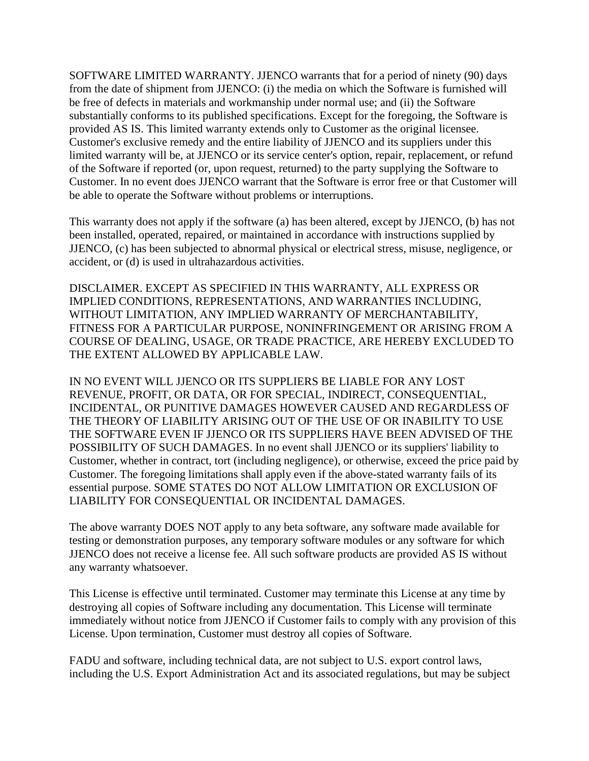SOFTWARE LIMITED WARRANTY. JJENCO warrants that for a period of ninety (90) days from the date of shipment from JJENCO: (i) the media on which the Software is furnished will be free of defects in materials and workmanship under normal use; and (ii) the Software substantially conforms to its published specifications. Except for the foregoing, the Software is provided AS IS. This limited warranty extends only to Customer as the original licensee. Customer's exclusive remedy and the entire liability of JJENCO and its suppliers under this limited warranty will be, at JJENCO or its service center's option, repair, replacement, or refund of the Software if reported (or, upon request, returned) to the party supplying the Software to Customer. In no event does JJENCO warrant that the Software is error free or that Customer will be able to operate the Software without problems or interruptions.

This warranty does not apply if the software (a) has been altered, except by JJENCO, (b) has not been installed, operated, repaired, or maintained in accordance with instructions supplied by JJENCO, (c) has been subjected to abnormal physical or electrical stress, misuse, negligence, or accident, or (d) is used in ultrahazardous activities.

DISCLAIMER. EXCEPT AS SPECIFIED IN THIS WARRANTY, ALL EXPRESS OR IMPLIED CONDITIONS, REPRESENTATIONS, AND WARRANTIES INCLUDING, WITHOUT LIMITATION, ANY IMPLIED WARRANTY OF MERCHANTABILITY, FITNESS FOR A PARTICULAR PURPOSE, NONINFRINGEMENT OR ARISING FROM A COURSE OF DEALING, USAGE, OR TRADE PRACTICE, ARE HEREBY EXCLUDED TO THE EXTENT ALLOWED BY APPLICABLE LAW.

IN NO EVENT WILL JJENCO OR ITS SUPPLIERS BE LIABLE FOR ANY LOST REVENUE, PROFIT, OR DATA, OR FOR SPECIAL, INDIRECT, CONSEQUENTIAL, INCIDENTAL, OR PUNITIVE DAMAGES HOWEVER CAUSED AND REGARDLESS OF THE THEORY OF LIABILITY ARISING OUT OF THE USE OF OR INABILITY TO USE THE SOFTWARE EVEN IF JJENCO OR ITS SUPPLIERS HAVE BEEN ADVISED OF THE POSSIBILITY OF SUCH DAMAGES. In no event shall JJENCO or its suppliers' liability to Customer, whether in contract, tort (including negligence), or otherwise, exceed the price paid by Customer. The foregoing limitations shall apply even if the above-stated warranty fails of its essential purpose. SOME STATES DO NOT ALLOW LIMITATION OR EXCLUSION OF LIABILITY FOR CONSEQUENTIAL OR INCIDENTAL DAMAGES.

The above warranty DOES NOT apply to any beta software, any software made available for testing or demonstration purposes, any temporary software modules or any software for which JJENCO does not receive a license fee. All such software products are provided AS IS without any warranty whatsoever.

This License is effective until terminated. Customer may terminate this License at any time by destroying all copies of Software including any documentation. This License will terminate immediately without notice from JJENCO if Customer fails to comply with any provision of this License. Upon termination, Customer must destroy all copies of Software.

FADU and software, including technical data, are not subject to U.S. export control laws, including the U.S. Export Administration Act and its associated regulations, but may be subject